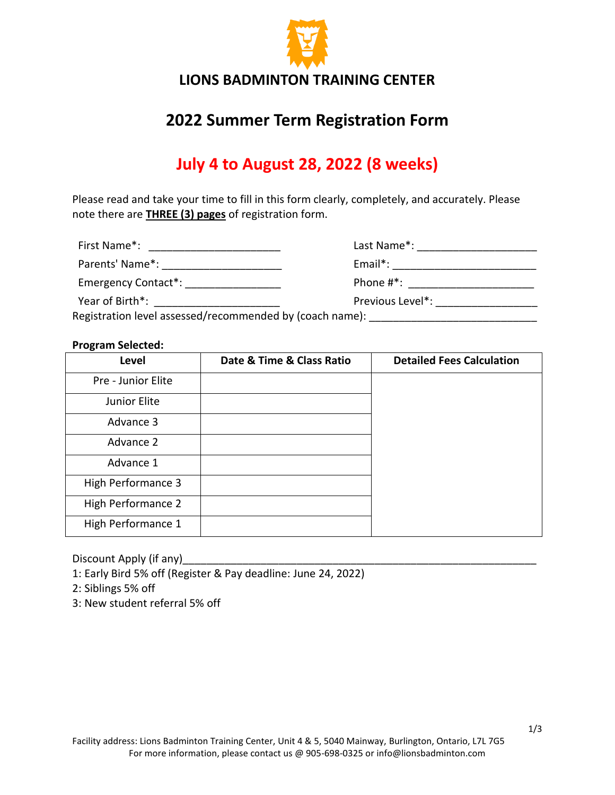

# **2022 Summer Term Registration Form**

# **July 4 to August 28, 2022 (8 weeks)**

Please read and take your time to fill in this form clearly, completely, and accurately. Please note there are **THREE (3) pages** of registration form.

| First Name*: |  |
|--------------|--|
|              |  |

First Name\*: \_\_\_\_\_\_\_\_\_\_\_\_\_\_\_\_\_\_\_\_\_\_ Last Name\*: \_\_\_\_\_\_\_\_\_\_\_\_\_\_\_\_\_\_\_\_ Parents' Name\*: \_\_\_\_\_\_\_\_\_\_\_\_\_\_\_\_\_\_\_\_ Email\*: \_\_\_\_\_\_\_\_\_\_\_\_\_\_\_\_\_\_\_\_\_\_\_\_ Emergency Contact\*: \_\_\_\_\_\_\_\_\_\_\_\_\_\_\_\_ Phone #\*: \_\_\_\_\_\_\_\_\_\_\_\_\_\_\_\_\_\_\_\_\_ Year of Birth\*: \_\_\_\_\_\_\_\_\_\_\_\_\_\_\_\_\_\_\_\_\_ Previous Level\*: \_\_\_\_\_\_\_\_\_\_\_\_\_\_\_\_\_

Registration level assessed/recommended by (coach name): \_\_\_\_\_\_\_\_\_\_\_\_\_\_\_\_\_\_\_\_\_\_\_

#### **Program Selected:**

| Level              | Date & Time & Class Ratio | <b>Detailed Fees Calculation</b> |
|--------------------|---------------------------|----------------------------------|
| Pre - Junior Elite |                           |                                  |
| Junior Elite       |                           |                                  |
| Advance 3          |                           |                                  |
| Advance 2          |                           |                                  |
| Advance 1          |                           |                                  |
| High Performance 3 |                           |                                  |
| High Performance 2 |                           |                                  |
| High Performance 1 |                           |                                  |

Discount Apply (if any)\_\_\_\_\_\_\_\_\_\_\_\_\_\_\_\_\_\_\_\_\_\_\_\_\_\_\_\_\_\_\_\_\_\_\_\_\_\_\_\_\_\_\_\_\_\_\_\_\_\_\_\_\_\_\_\_\_\_\_

1: Early Bird 5% off (Register & Pay deadline: June 24, 2022)

2: Siblings 5% off

3: New student referral 5% off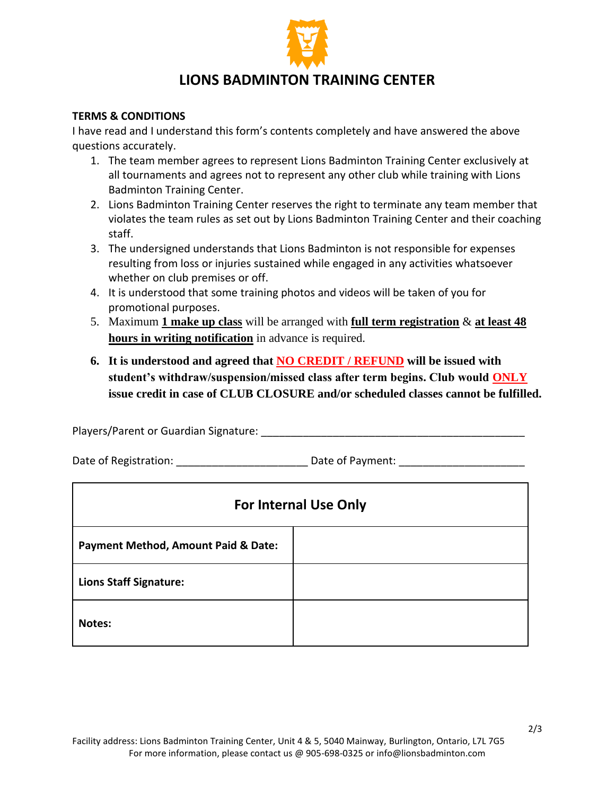

### **LIONS BADMINTON TRAINING CENTER**

#### **TERMS & CONDITIONS**

I have read and I understand this form's contents completely and have answered the above questions accurately.

- 1. The team member agrees to represent Lions Badminton Training Center exclusively at all tournaments and agrees not to represent any other club while training with Lions Badminton Training Center.
- 2. Lions Badminton Training Center reserves the right to terminate any team member that violates the team rules as set out by Lions Badminton Training Center and their coaching staff.
- 3. The undersigned understands that Lions Badminton is not responsible for expenses resulting from loss or injuries sustained while engaged in any activities whatsoever whether on club premises or off.
- 4. It is understood that some training photos and videos will be taken of you for promotional purposes.
- 5. Maximum **1 make up class** will be arranged with **full term registration** & **at least 48 hours in writing notification** in advance is required.
- **6. It is understood and agreed that NO CREDIT / REFUND will be issued with student's withdraw/suspension/missed class after term begins. Club would ONLY issue credit in case of CLUB CLOSURE and/or scheduled classes cannot be fulfilled.**

Players/Parent or Guardian Signature: **Noting that the set of the set of the set of the set of the set of the s** 

Date of Registration: example and Date of Payment:  $\Box$ 

| <b>For Internal Use Only</b>                   |  |  |  |
|------------------------------------------------|--|--|--|
| <b>Payment Method, Amount Paid &amp; Date:</b> |  |  |  |
| <b>Lions Staff Signature:</b>                  |  |  |  |
| Notes:                                         |  |  |  |